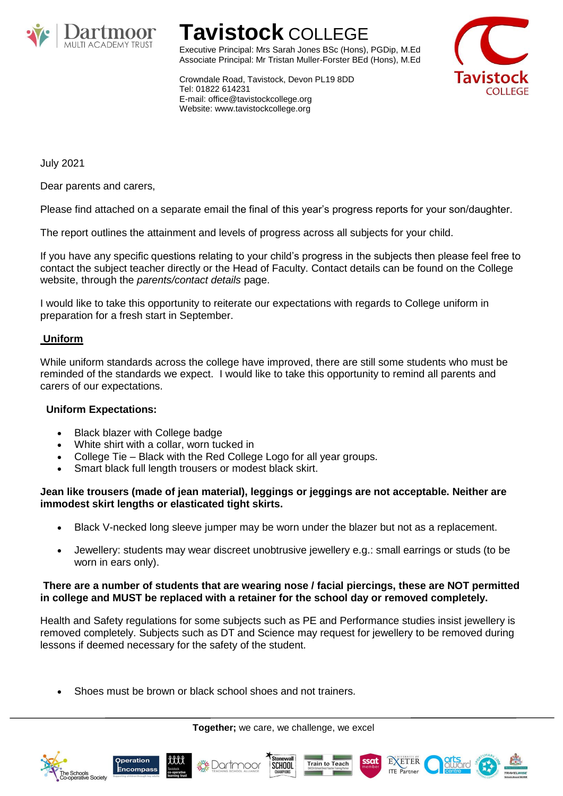

# **Tavistock** COLLEGE

Executive Principal: Mrs Sarah Jones BSc (Hons), PGDip, M.Ed Associate Principal: Mr Tristan Muller-Forster BEd (Hons), M.Ed **COLLEGE** 

Crowndale Road, Tavistock, Devon PL19 8DD Tel: 01822 614231 E-mail: office@tavistockcollege.org Website: www.tavistockcollege.org

July 2021

Dear parents and carers,

Please find attached on a separate email the final of this year's progress reports for your son/daughter.

The report outlines the attainment and levels of progress across all subjects for your child.

If you have any specific questions relating to your child's progress in the subjects then please feel free to contact the subject teacher directly or the Head of Faculty. Contact details can be found on the College website, through the *parents/contact details* page.

I would like to take this opportunity to reiterate our expectations with regards to College uniform in preparation for a fresh start in September.

# **Uniform**

While uniform standards across the college have improved, there are still some students who must be reminded of the standards we expect. I would like to take this opportunity to remind all parents and carers of our expectations.

# **Uniform Expectations:**

- Black blazer with College badge
- White shirt with a collar, worn tucked in
- College Tie Black with the Red College Logo for all year groups.
- Smart black full length trousers or modest black skirt.

### **Jean like trousers (made of jean material), leggings or jeggings are not acceptable. Neither are immodest skirt lengths or elasticated tight skirts.**

- Black V-necked long sleeve jumper may be worn under the blazer but not as a replacement.
- Jewellery: students may wear discreet unobtrusive jewellery e.g.: small earrings or studs (to be worn in ears only).

### **There are a number of students that are wearing nose / facial piercings, these are NOT permitted in college and MUST be replaced with a retainer for the school day or removed completely.**

Health and Safety regulations for some subjects such as PE and Performance studies insist jewellery is removed completely. Subjects such as DT and Science may request for jewellery to be removed during lessons if deemed necessary for the safety of the student.

Shoes must be brown or black school shoes and not trainers.

**Together;** we care, we challenge, we excel











EXETER

**ITE** Partner